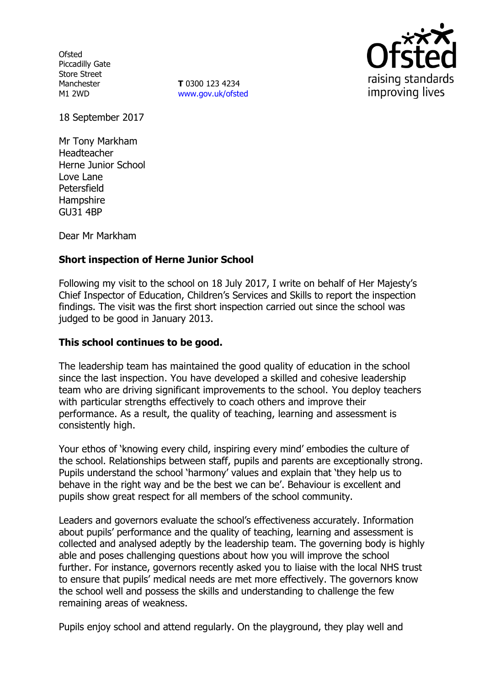**Ofsted** Piccadilly Gate Store Street Manchester M1 2WD

**T** 0300 123 4234 www.gov.uk/ofsted



18 September 2017

Mr Tony Markham Headteacher Herne Junior School Love Lane Petersfield **Hampshire** GU31 4BP

Dear Mr Markham

# **Short inspection of Herne Junior School**

Following my visit to the school on 18 July 2017, I write on behalf of Her Majesty's Chief Inspector of Education, Children's Services and Skills to report the inspection findings. The visit was the first short inspection carried out since the school was judged to be good in January 2013.

### **This school continues to be good.**

The leadership team has maintained the good quality of education in the school since the last inspection. You have developed a skilled and cohesive leadership team who are driving significant improvements to the school. You deploy teachers with particular strengths effectively to coach others and improve their performance. As a result, the quality of teaching, learning and assessment is consistently high.

Your ethos of 'knowing every child, inspiring every mind' embodies the culture of the school. Relationships between staff, pupils and parents are exceptionally strong. Pupils understand the school 'harmony' values and explain that 'they help us to behave in the right way and be the best we can be'. Behaviour is excellent and pupils show great respect for all members of the school community.

Leaders and governors evaluate the school's effectiveness accurately. Information about pupils' performance and the quality of teaching, learning and assessment is collected and analysed adeptly by the leadership team. The governing body is highly able and poses challenging questions about how you will improve the school further. For instance, governors recently asked you to liaise with the local NHS trust to ensure that pupils' medical needs are met more effectively. The governors know the school well and possess the skills and understanding to challenge the few remaining areas of weakness.

Pupils enjoy school and attend regularly. On the playground, they play well and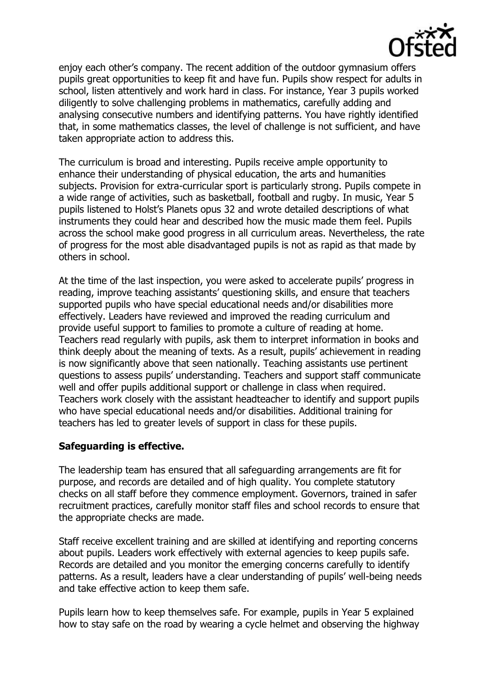

enjoy each other's company. The recent addition of the outdoor gymnasium offers pupils great opportunities to keep fit and have fun. Pupils show respect for adults in school, listen attentively and work hard in class. For instance, Year 3 pupils worked diligently to solve challenging problems in mathematics, carefully adding and analysing consecutive numbers and identifying patterns. You have rightly identified that, in some mathematics classes, the level of challenge is not sufficient, and have taken appropriate action to address this.

The curriculum is broad and interesting. Pupils receive ample opportunity to enhance their understanding of physical education, the arts and humanities subjects. Provision for extra-curricular sport is particularly strong. Pupils compete in a wide range of activities, such as basketball, football and rugby. In music, Year 5 pupils listened to Holst's Planets opus 32 and wrote detailed descriptions of what instruments they could hear and described how the music made them feel. Pupils across the school make good progress in all curriculum areas. Nevertheless, the rate of progress for the most able disadvantaged pupils is not as rapid as that made by others in school.

At the time of the last inspection, you were asked to accelerate pupils' progress in reading, improve teaching assistants' questioning skills, and ensure that teachers supported pupils who have special educational needs and/or disabilities more effectively. Leaders have reviewed and improved the reading curriculum and provide useful support to families to promote a culture of reading at home. Teachers read regularly with pupils, ask them to interpret information in books and think deeply about the meaning of texts. As a result, pupils' achievement in reading is now significantly above that seen nationally. Teaching assistants use pertinent questions to assess pupils' understanding. Teachers and support staff communicate well and offer pupils additional support or challenge in class when required. Teachers work closely with the assistant headteacher to identify and support pupils who have special educational needs and/or disabilities. Additional training for teachers has led to greater levels of support in class for these pupils.

### **Safeguarding is effective.**

The leadership team has ensured that all safeguarding arrangements are fit for purpose, and records are detailed and of high quality. You complete statutory checks on all staff before they commence employment. Governors, trained in safer recruitment practices, carefully monitor staff files and school records to ensure that the appropriate checks are made.

Staff receive excellent training and are skilled at identifying and reporting concerns about pupils. Leaders work effectively with external agencies to keep pupils safe. Records are detailed and you monitor the emerging concerns carefully to identify patterns. As a result, leaders have a clear understanding of pupils' well-being needs and take effective action to keep them safe.

Pupils learn how to keep themselves safe. For example, pupils in Year 5 explained how to stay safe on the road by wearing a cycle helmet and observing the highway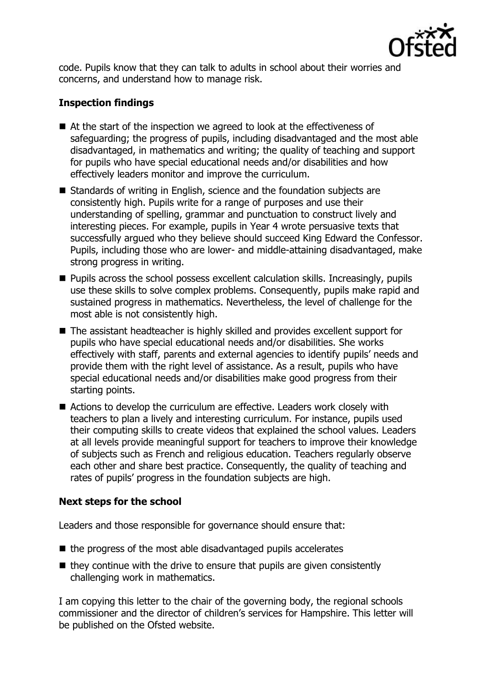

code. Pupils know that they can talk to adults in school about their worries and concerns, and understand how to manage risk.

# **Inspection findings**

- At the start of the inspection we agreed to look at the effectiveness of safeguarding; the progress of pupils, including disadvantaged and the most able disadvantaged, in mathematics and writing; the quality of teaching and support for pupils who have special educational needs and/or disabilities and how effectively leaders monitor and improve the curriculum.
- Standards of writing in English, science and the foundation subjects are consistently high. Pupils write for a range of purposes and use their understanding of spelling, grammar and punctuation to construct lively and interesting pieces. For example, pupils in Year 4 wrote persuasive texts that successfully argued who they believe should succeed King Edward the Confessor. Pupils, including those who are lower- and middle-attaining disadvantaged, make strong progress in writing.
- **Pupils across the school possess excellent calculation skills. Increasingly, pupils** use these skills to solve complex problems. Consequently, pupils make rapid and sustained progress in mathematics. Nevertheless, the level of challenge for the most able is not consistently high.
- The assistant headteacher is highly skilled and provides excellent support for pupils who have special educational needs and/or disabilities. She works effectively with staff, parents and external agencies to identify pupils' needs and provide them with the right level of assistance. As a result, pupils who have special educational needs and/or disabilities make good progress from their starting points.
- Actions to develop the curriculum are effective. Leaders work closely with teachers to plan a lively and interesting curriculum. For instance, pupils used their computing skills to create videos that explained the school values. Leaders at all levels provide meaningful support for teachers to improve their knowledge of subjects such as French and religious education. Teachers regularly observe each other and share best practice. Consequently, the quality of teaching and rates of pupils' progress in the foundation subjects are high.

# **Next steps for the school**

Leaders and those responsible for governance should ensure that:

- $\blacksquare$  the progress of the most able disadvantaged pupils accelerates
- $\blacksquare$  they continue with the drive to ensure that pupils are given consistently challenging work in mathematics.

I am copying this letter to the chair of the governing body, the regional schools commissioner and the director of children's services for Hampshire. This letter will be published on the Ofsted website.